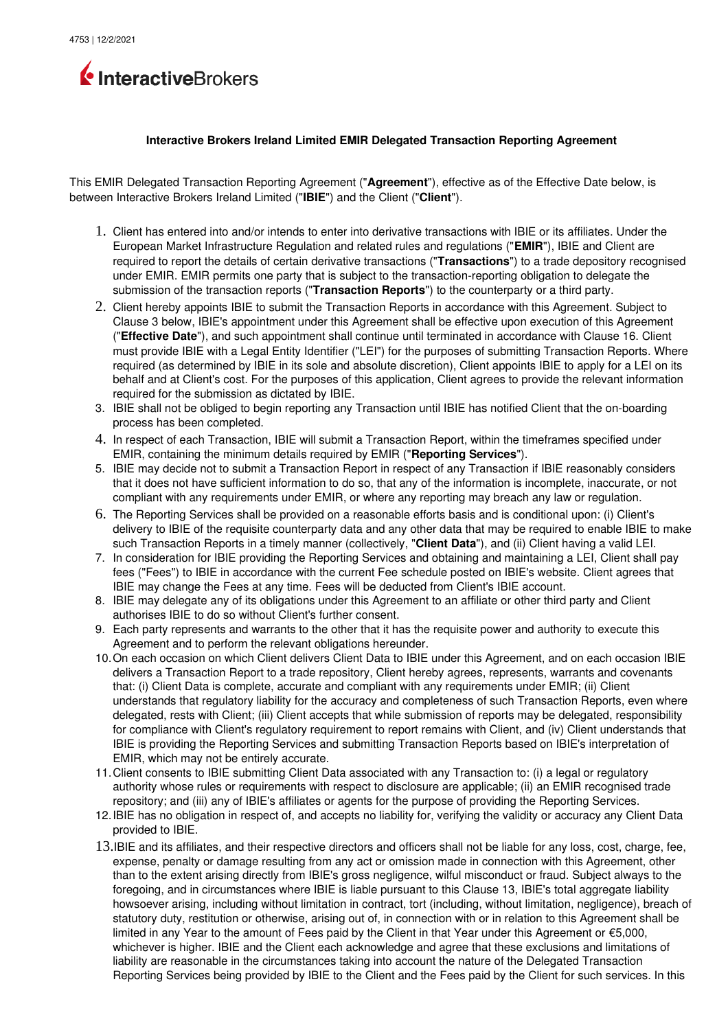

## **Interactive Brokers Ireland Limited EMIR Delegated Transaction Reporting Agreement**

This EMIR Delegated Transaction Reporting Agreement ("**Agreement**"), effective as of the Effective Date below, is between Interactive Brokers Ireland Limited ("**IBIE**") and the Client ("**Client**").

- 1. Client has entered into and/or intends to enter into derivative transactions with IBIE or its affiliates. Under the European Market Infrastructure Regulation and related rules and regulations ("**EMIR**"), IBIE and Client are required to report the details of certain derivative transactions ("**Transactions**") to a trade depository recognised under EMIR. EMIR permits one party that is subject to the transaction-reporting obligation to delegate the submission of the transaction reports ("**Transaction Reports**") to the counterparty or a third party.
- 2. Client hereby appoints IBIE to submit the Transaction Reports in accordance with this Agreement. Subject to Clause 3 below, IBIE's appointment under this Agreement shall be effective upon execution of this Agreement ("**Effective Date**"), and such appointment shall continue until terminated in accordance with Clause 16. Client must provide IBIE with a Legal Entity Identifier ("LEI") for the purposes of submitting Transaction Reports. Where required (as determined by IBIE in its sole and absolute discretion), Client appoints IBIE to apply for a LEI on its behalf and at Client's cost. For the purposes of this application, Client agrees to provide the relevant information required for the submission as dictated by IBIE.
- 3. IBIE shall not be obliged to begin reporting any Transaction until IBIE has notified Client that the onboarding process has been completed.
- 4. In respect of each Transaction, IBIE will submit a Transaction Report, within the timeframes specified under EMIR, containing the minimum details required by EMIR ("**Reporting Services**").
- 5. IBIE may decide not to submit a Transaction Report in respect of any Transaction if IBIE reasonably considers that it does not have sufficient information to do so, that any of the information is incomplete, inaccurate, or not compliant with any requirements under EMIR, or where any reporting may breach any law or regulation.
- 6. The Reporting Services shall be provided on a reasonable efforts basis and is conditional upon: (i) Client's delivery to IBIE of the requisite counterparty data and any other data that may be required to enable IBIE to make such Transaction Reports in a timely manner (collectively, "**Client Data**"), and (ii) Client having a valid LEI.
- 7. In consideration for IBIE providing the Reporting Services and obtaining and maintaining a LEI, Client shall pay fees ("Fees") to IBIE in accordance with the current Fee schedule posted on IBIE's website. Client agrees that IBIE may change the Fees at any time. Fees will be deducted from Client's IBIE account.
- 8. IBIE may delegate any of its obligations under this Agreement to an affiliate or other third party and Client authorises IBIE to do so without Client's further consent.
- 9. Each party represents and warrants to the other that it has the requisite power and authority to execute this Agreement and to perform the relevant obligations hereunder.
- 10.On each occasion on which Client delivers Client Data to IBIE under this Agreement, and on each occasion IBIE delivers a Transaction Report to a trade repository, Client hereby agrees, represents, warrants and covenants that: (i) Client Data is complete, accurate and compliant with any requirements under EMIR; (ii) Client understands that regulatory liability for the accuracy and completeness of such Transaction Reports, even where delegated, rests with Client; (iii) Client accepts that while submission of reports may be delegated, responsibility for compliance with Client's regulatory requirement to report remains with Client, and (iv) Client understands that IBIE is providing the Reporting Services and submitting Transaction Reports based on IBIE's interpretation of EMIR, which may not be entirely accurate.
- 11.Client consents to IBIE submitting Client Data associated with any Transaction to: (i) a legal or regulatory authority whose rules or requirements with respect to disclosure are applicable; (ii) an EMIR recognised trade repository; and (iii) any of IBIE's affiliates or agents for the purpose of providing the Reporting Services.
- 12.IBIE has no obligation in respect of, and accepts no liability for, verifying the validity or accuracy any Client Data provided to IBIE.
- 13.IBIE and its affiliates, and their respective directors and officers shall not be liable for any loss, cost, charge, fee, expense, penalty or damage resulting from any act or omission made in connection with this Agreement, other than to the extent arising directly from IBIE's gross negligence, wilful misconduct or fraud. Subject always to the foregoing, and in circumstances where IBIE is liable pursuant to this Clause 13, IBIE's total aggregate liability howsoever arising, including without limitation in contract, tort (including, without limitation, negligence), breach of statutory duty, restitution or otherwise, arising out of, in connection with or in relation to this Agreement shall be limited in any Year to the amount of Fees paid by the Client in that Year under this Agreement or €5,000, whichever is higher. IBIE and the Client each acknowledge and agree that these exclusions and limitations of liability are reasonable in the circumstances taking into account the nature of the Delegated Transaction Reporting Services being provided by IBIE to the Client and the Fees paid by the Client for such services. In this